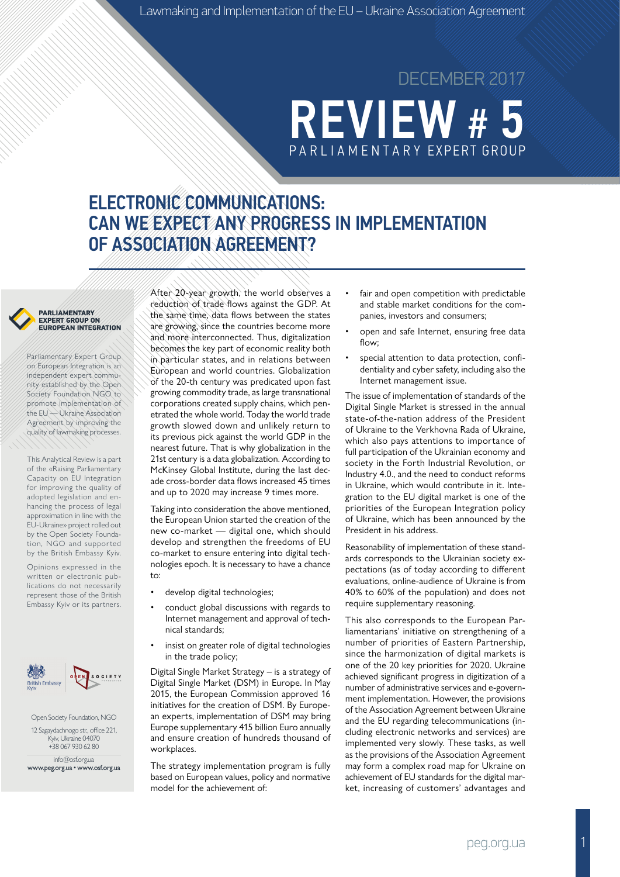# **REVIEW #** PA R L I A M E N TA R Y EXPERT GROUP DECEMBER 2017

## ELECTRONIC COMMUNICATIONS: CAN WE EXPECT ANY PROGRESS IN IMPLEMENTATION OF ASSOCIATION AGREEMENT?

#### PARLIAMENTARY **EXPERT GROUP ON EUROPEAN INTEGRATION**

Parliamentary Expert Group on European Integration is an independent expert community established by the Open Society Foundation NGO to promote implementation of the EU — Ukraine Association Agreement by improving the quality of lawmaking processes.

This Analytical Review is a part of the «Raising Parliamentary Capacity on EU Integration for improving the quality of adopted legislation and enhancing the process of legal approximation in line with the EU-Ukraine» project rolled out by the Open Society Foundation, NGO and supported by the British Embassy Kyiv.

Opinions expressed in the written or electronic publications do not necessarily represent those of the British Embassy Kyiv or its partners.



Open Society Foundation, NGO 12 Sagaydachnogo str., office 221, Kyiv, Ukraine 04070 +38 067 930 62 80

info@osf.org.ua www.peg.org.ua • www.osf.org.ua

After 20-year growth, the world observes a reduction of trade flows against the GDP. At the same time, data flows between the states are growing, since the countries become more and more interconnected. Thus, digitalization becomes the key part of economic reality both in particular states, and in relations between European and world countries. Globalization of the 20-th century was predicated upon fast growing commodity trade, as large transnational corporations created supply chains, which penetrated the whole world. Today the world trade growth slowed down and unlikely return to its previous pick against the world GDP in the nearest future. That is why globalization in the 21st century is a data globalization. According to McKinsey Global Institute, during the last decade cross-border data flows increased 45 times and up to 2020 may increase 9 times more.

Taking into consideration the above mentioned, the European Union started the creation of the new co-market — digital one, which should develop and strengthen the freedoms of EU co-market to ensure entering into digital technologies epoch. It is necessary to have a chance to:

- develop digital technologies;
- conduct global discussions with regards to Internet management and approval of technical standards;
- insist on greater role of digital technologies in the trade policy;

Digital Single Market Strategy – is a strategy of Digital Single Market (DSM) in Europe. In May 2015, the European Commission approved 16 initiatives for the creation of DSM. By European experts, implementation of DSM may bring Europe supplementary 415 billion Euro annually and ensure creation of hundreds thousand of workplaces.

The strategy implementation program is fully based on European values, policy and normative model for the achievement of

- fair and open competition with predictable and stable market conditions for the companies, investors and consumers;
- open and safe Internet, ensuring free data flow:
- special attention to data protection, confidentiality and cyber safety, including also the Internet management issue.

The issue of implementation of standards of the Digital Single Market is stressed in the annual state-of-the-nation address of the President of Ukraine to the Verkhovna Rada of Ukraine, which also pays attentions to importance of full participation of the Ukrainian economy and society in the Forth Industrial Revolution, or Industry 4.0., and the need to conduct reforms in Ukraine, which would contribute in it. Integration to the EU digital market is one of the priorities of the European Integration policy of Ukraine, which has been announced by the President in his address.

Reasonability of implementation of these standards corresponds to the Ukrainian society expectations (as of today according to different evaluations, online-audience of Ukraine is from 40% to 60% of the population) and does not require supplementary reasoning.

This also corresponds to the European Parliamentarians' initiative on strengthening of a number of priorities of Eastern Partnership, since the harmonization of digital markets is one of the 20 key priorities for 2020. Ukraine achieved significant progress in digitization of a number of administrative services and e-government implementation. However, the provisions of the Association Agreement between Ukraine and the EU regarding telecommunications (including electronic networks and services) are implemented very slowly. These tasks, as well as the provisions of the Association Agreement may form a complex road map for Ukraine on achievement of EU standards for the digital market, increasing of customers' advantages and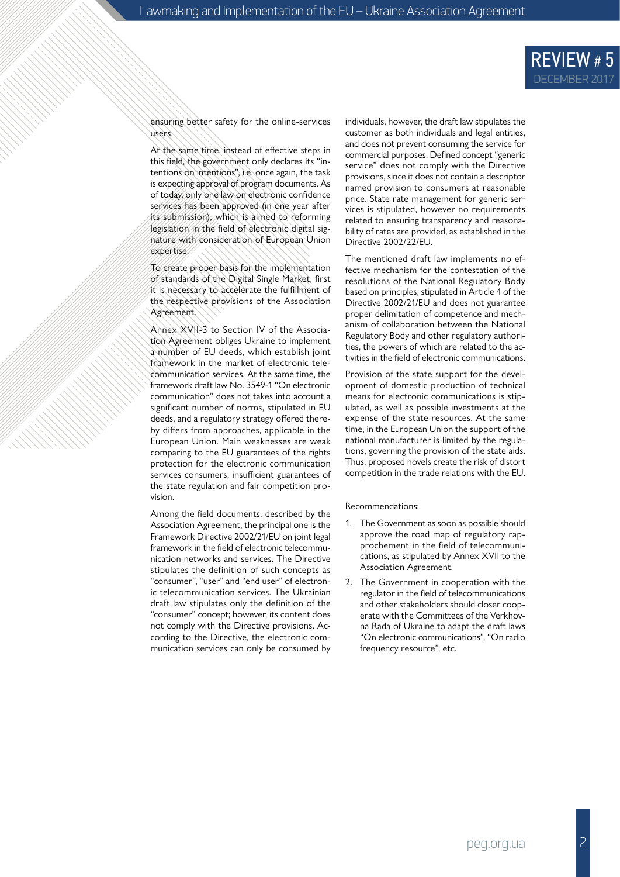ensuring better safety for the online-services users.

At the same time, instead of effective steps in this field, the government only declares its "intentions on intentions", i.e. once again, the task is expecting approval of program documents. As of today, only one law on electronic confidence services has been approved (in one year after its submission), which is aimed to reforming legislation in the field of electronic digital signature with consideration of European Union expertise.

To create proper basis for the implementation of standards of the Digital Single Market, first it is necessary to accelerate the fulfillment of the respective provisions of the Association Agreement.

Annex XVII-3 to Section IV of the Association Agreement obliges Ukraine to implement a number of EU deeds, which establish joint framework in the market of electronic telecommunication services. At the same time, the framework draft law No. 3549-1 "On electronic communication" does not takes into account a significant number of norms, stipulated in EU deeds, and a regulatory strategy offered thereby differs from approaches, applicable in the European Union. Main weaknesses are weak comparing to the EU guarantees of the rights protection for the electronic communication services consumers, insufficient guarantees of the state regulation and fair competition provision.

Among the field documents, described by the Association Agreement, the principal one is the Framework Directive 2002/21/EU on joint legal framework in the field of electronic telecommunication networks and services. The Directive stipulates the definition of such concepts as "consumer", "user" and "end user" of electronic telecommunication services. The Ukrainian draft law stipulates only the definition of the "consumer" concept; however, its content does not comply with the Directive provisions. According to the Directive, the electronic communication services can only be consumed by individuals, however, the draft law stipulates the customer as both individuals and legal entities, and does not prevent consuming the service for commercial purposes. Defined concept "generic service" does not comply with the Directive provisions, since it does not contain a descriptor named provision to consumers at reasonable price. State rate management for generic services is stipulated, however no requirements related to ensuring transparency and reasonability of rates are provided, as established in the Directive 2002/22/EU.

The mentioned draft law implements no effective mechanism for the contestation of the resolutions of the National Regulatory Body based on principles, stipulated in Article 4 of the Directive 2002/21/EU and does not guarantee proper delimitation of competence and mechanism of collaboration between the National Regulatory Body and other regulatory authorities, the powers of which are related to the activities in the field of electronic communications.

Provision of the state support for the development of domestic production of technical means for electronic communications is stipulated, as well as possible investments at the expense of the state resources. At the same time, in the European Union the support of the national manufacturer is limited by the regulations, governing the provision of the state aids. Thus, proposed novels create the risk of distort competition in the trade relations with the EU.

Recommendations:

- 1. The Government as soon as possible should approve the road map of regulatory rapprochement in the field of telecommunications, as stipulated by Annex XVII to the Association Agreement.
- 2. The Government in cooperation with the regulator in the field of telecommunications and other stakeholders should closer cooperate with the Committees of the Verkhovna Rada of Ukraine to adapt the draft laws "On electronic communications", "On radio frequency resource", etc.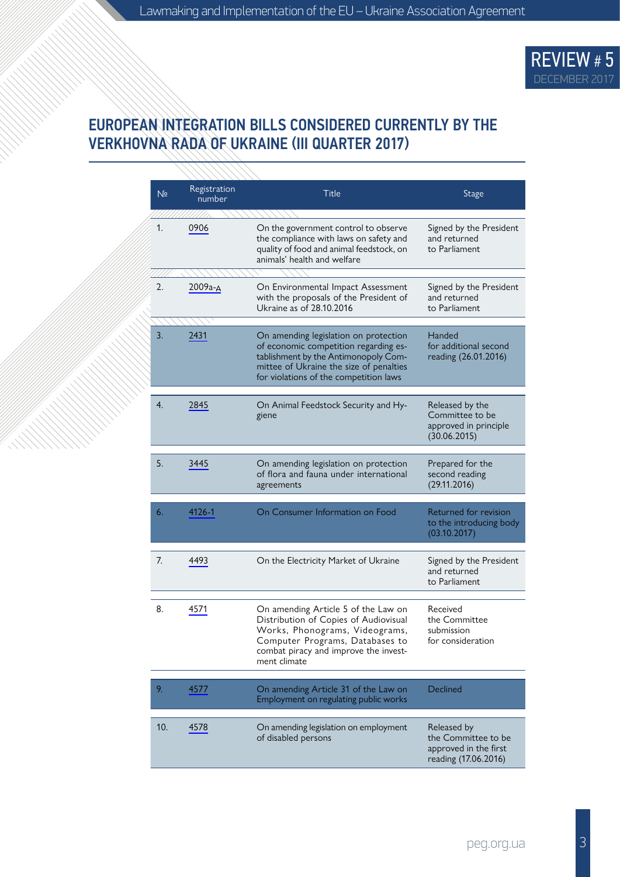

#### EUROPEAN INTEGRATION BILLS CONSIDERED CURRENTLY BY THE VERKHOVNA RADA OF UKRAINE (ІІI QUARTER 2017)

| N <sub>2</sub> | Registration<br>number | <b>Title</b>                                                                                                                                                                                                | <b>Stage</b>                                                                        |
|----------------|------------------------|-------------------------------------------------------------------------------------------------------------------------------------------------------------------------------------------------------------|-------------------------------------------------------------------------------------|
| 1.             | 0906                   | On the government control to observe<br>the compliance with laws on safety and<br>quality of food and animal feedstock, on<br>animals' health and welfare                                                   | Signed by the President<br>and returned<br>to Parliament                            |
| 2.             | 2009а-д                | On Environmental Impact Assessment<br>with the proposals of the President of<br>Ukraine as of 28.10.2016                                                                                                    | Signed by the President<br>and returned<br>to Parliament                            |
| 3.             | 2431                   | On amending legislation on protection<br>of economic competition regarding es-<br>tablishment by the Antimonopoly Com-<br>mittee of Ukraine the size of penalties<br>for violations of the competition laws | Handed<br>for additional second<br>reading (26.01.2016)                             |
| 4.             | 2845                   | On Animal Feedstock Security and Hy-<br>giene                                                                                                                                                               | Released by the<br>Committee to be<br>approved in principle<br>(30.06.2015)         |
| 5.             | 3445                   | On amending legislation on protection<br>of flora and fauna under international<br>agreements                                                                                                               | Prepared for the<br>second reading<br>(29.11.2016)                                  |
| 6.             | 4126-1                 | On Consumer Information on Food                                                                                                                                                                             | Returned for revision<br>to the introducing body<br>(03.10.2017)                    |
| 7.             | 4493                   | On the Electricity Market of Ukraine                                                                                                                                                                        | Signed by the President<br>and returned<br>to Parliament                            |
| 8.             | 4571                   | On amending Article 5 of the Law on<br>Distribution of Copies of Audiovisual<br>Works, Phonograms, Videograms,<br>Computer Programs, Databases to<br>combat piracy and improve the invest-<br>ment climate  | Received<br>the Committee<br>submission<br>for consideration                        |
| 9.             | 4577                   | On amending Article 31 of the Law on<br>Employment on regulating public works                                                                                                                               | Declined                                                                            |
| 10.            | 4578                   | On amending legislation on employment<br>of disabled persons                                                                                                                                                | Released by<br>the Committee to be<br>approved in the first<br>reading (17.06.2016) |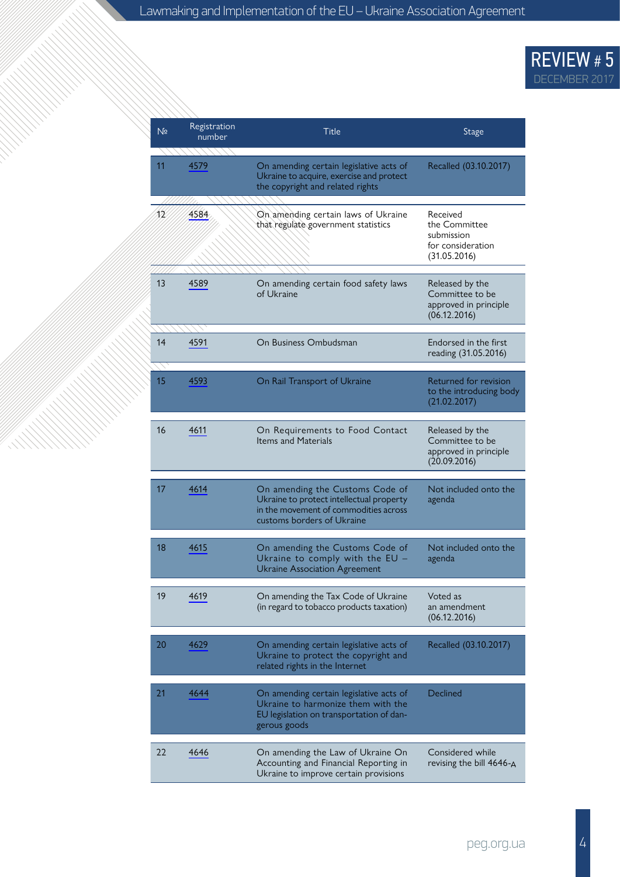| N <sub>2</sub> | Registration<br>number | Title                                                                                                                                              | <b>Stage</b>                                                                 |
|----------------|------------------------|----------------------------------------------------------------------------------------------------------------------------------------------------|------------------------------------------------------------------------------|
| 11             | 4579                   | On amending certain legislative acts of<br>Ukraine to acquire, exercise and protect<br>the copyright and related rights                            | Recalled (03.10.2017)                                                        |
| 12             | 4584                   | On amending certain laws of Ukraine<br>that regulate government statistics                                                                         | Received<br>the Committee<br>submission<br>for consideration<br>(31.05.2016) |
| 13             | 4589                   | On amending certain food safety laws<br>of Ukraine                                                                                                 | Released by the<br>Committee to be<br>approved in principle<br>(06.12.2016)  |
| 14             | 4591                   | On Business Ombudsman                                                                                                                              | Endorsed in the first<br>reading (31.05.2016)                                |
| 15             | 4593                   | On Rail Transport of Ukraine                                                                                                                       | Returned for revision<br>to the introducing body<br>(21.02.2017)             |
| 16             | 4611                   | On Requirements to Food Contact<br><b>Items and Materials</b>                                                                                      | Released by the<br>Committee to be<br>approved in principle<br>(20.09.2016)  |
| 17             | 4614                   | On amending the Customs Code of<br>Ukraine to protect intellectual property<br>in the movement of commodities across<br>customs borders of Ukraine | Not included onto the<br>agenda                                              |
| 18             | 4615                   | On amending the Customs Code of<br>Ukraine to comply with the $EU -$<br><b>Ukraine Association Agreement</b>                                       | Not included onto the<br>agenda                                              |
| 19             | 4619                   | On amending the Tax Code of Ukraine<br>(in regard to tobacco products taxation)                                                                    | Voted as<br>an amendment<br>(06.12.2016)                                     |
| 20             | 4629                   | On amending certain legislative acts of<br>Ukraine to protect the copyright and<br>related rights in the Internet                                  | Recalled (03.10.2017)                                                        |
| 21             | 4644                   | On amending certain legislative acts of<br>Ukraine to harmonize them with the<br>EU legislation on transportation of dan-<br>gerous goods          | Declined                                                                     |
| 22             | 4646                   | On amending the Law of Ukraine On<br>Accounting and Financial Reporting in<br>Ukraine to improve certain provisions                                | Considered while<br>revising the bill 4646-A                                 |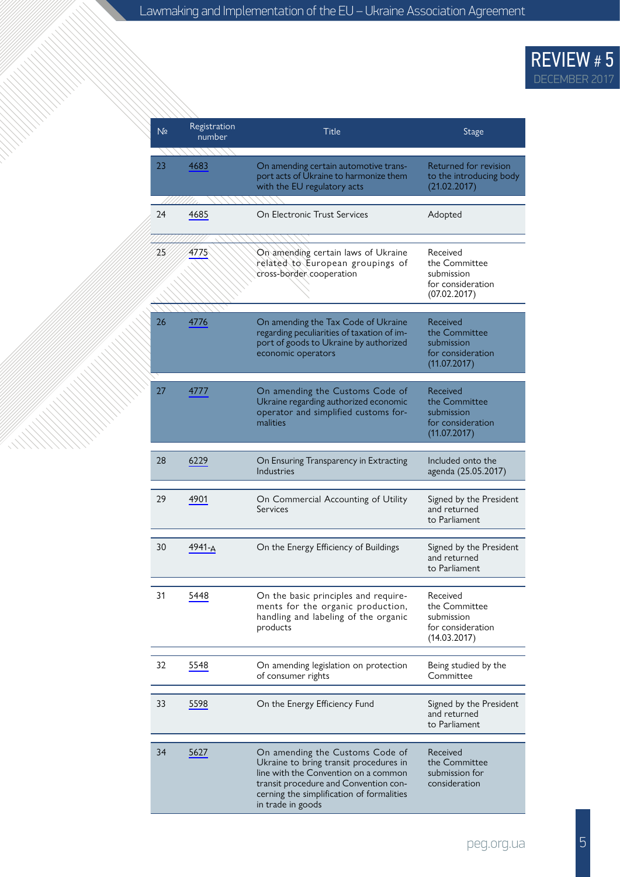| N <sub>2</sub> | Registration<br>number | Title                                                                                                                                                                                                                        | Stage                                                                        |
|----------------|------------------------|------------------------------------------------------------------------------------------------------------------------------------------------------------------------------------------------------------------------------|------------------------------------------------------------------------------|
| 23             | 4683                   | On amending certain automotive trans-<br>port acts of Ukraine to harmonize them<br>with the EU regulatory acts                                                                                                               | Returned for revision<br>to the introducing body<br>(21.02.2017)             |
| 24             | 4685                   | On Electronic Trust Services                                                                                                                                                                                                 | Adopted                                                                      |
| 25             | 4775                   | On amending certain laws of Ukraine<br>related to European groupings of<br>cross-border cooperation                                                                                                                          | Received<br>the Committee<br>submission<br>for consideration<br>(07.02.2017) |
| 26             | 4776                   | On amending the Tax Code of Ukraine<br>regarding peculiarities of taxation of im-<br>port of goods to Ukraine by authorized<br>economic operators                                                                            | Received<br>the Committee<br>submission<br>for consideration<br>(11.07.2017) |
| 27             | 4777                   | On amending the Customs Code of<br>Ukraine regarding authorized economic<br>operator and simplified customs for-<br>malities                                                                                                 | Received<br>the Committee<br>submission<br>for consideration<br>(11.07.2017) |
| 28             | 6229                   | On Ensuring Transparency in Extracting<br>Industries                                                                                                                                                                         | Included onto the<br>agenda (25.05.2017)                                     |
| 29             | 4901                   | On Commercial Accounting of Utility<br>Services                                                                                                                                                                              | Signed by the President<br>and returned<br>to Parliament                     |
| 30             | 4941-A                 | On the Energy Efficiency of Buildings                                                                                                                                                                                        | Signed by the President<br>and returned<br>to Parliament                     |
| 31             | 5448                   | On the basic principles and require-<br>ments for the organic production,<br>handling and labeling of the organic<br>products                                                                                                | Received<br>the Committee<br>submission<br>for consideration<br>(14.03.2017) |
| 32             | 5548                   | On amending legislation on protection<br>of consumer rights                                                                                                                                                                  | Being studied by the<br>Committee                                            |
| 33             | 5598                   | On the Energy Efficiency Fund                                                                                                                                                                                                | Signed by the President<br>and returned<br>to Parliament                     |
| 34             | 5627                   | On amending the Customs Code of<br>Ukraine to bring transit procedures in<br>line with the Convention on a common<br>transit procedure and Convention con-<br>cerning the simplification of formalities<br>in trade in goods | Received<br>the Committee<br>submission for<br>consideration                 |